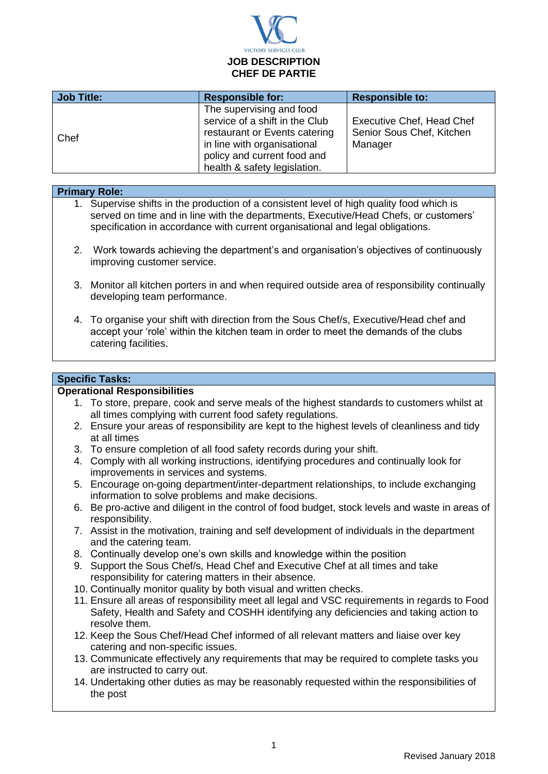

| Job Title: | <b>Responsible for:</b>                                                                                                                                                                   | <b>Responsible to:</b>                                                   |
|------------|-------------------------------------------------------------------------------------------------------------------------------------------------------------------------------------------|--------------------------------------------------------------------------|
| Chef       | The supervising and food<br>service of a shift in the Club<br>restaurant or Events catering<br>in line with organisational<br>policy and current food and<br>health & safety legislation. | <b>Executive Chef, Head Chef</b><br>Senior Sous Chef, Kitchen<br>Manager |

## **Primary Role:**

- 1. Supervise shifts in the production of a consistent level of high quality food which is served on time and in line with the departments, Executive/Head Chefs, or customers' specification in accordance with current organisational and legal obligations.
- 2. Work towards achieving the department's and organisation's objectives of continuously improving customer service.
- 3. Monitor all kitchen porters in and when required outside area of responsibility continually developing team performance.
- 4. To organise your shift with direction from the Sous Chef/s, Executive/Head chef and accept your 'role' within the kitchen team in order to meet the demands of the clubs catering facilities.

## **Specific Tasks:**

## **Operational Responsibilities**

- 1. To store, prepare, cook and serve meals of the highest standards to customers whilst at all times complying with current food safety regulations.
- 2. Ensure your areas of responsibility are kept to the highest levels of cleanliness and tidy at all times
- 3. To ensure completion of all food safety records during your shift.
- 4. Comply with all working instructions, identifying procedures and continually look for improvements in services and systems.
- 5. Encourage on-going department/inter-department relationships, to include exchanging information to solve problems and make decisions.
- 6. Be pro-active and diligent in the control of food budget, stock levels and waste in areas of responsibility.
- 7. Assist in the motivation, training and self development of individuals in the department and the catering team.
- 8. Continually develop one's own skills and knowledge within the position
- 9. Support the Sous Chef/s, Head Chef and Executive Chef at all times and take responsibility for catering matters in their absence.
- 10. Continually monitor quality by both visual and written checks.
- 11. Ensure all areas of responsibility meet all legal and VSC requirements in regards to Food Safety, Health and Safety and COSHH identifying any deficiencies and taking action to resolve them.
- 12. Keep the Sous Chef/Head Chef informed of all relevant matters and liaise over key catering and non-specific issues.
- 13. Communicate effectively any requirements that may be required to complete tasks you are instructed to carry out.
- 14. Undertaking other duties as may be reasonably requested within the responsibilities of the post